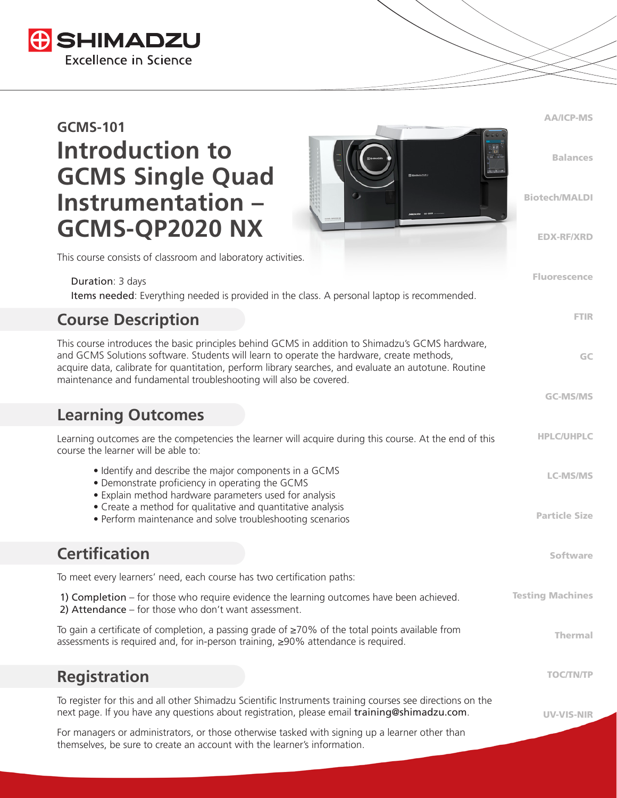

| <b>GCMS-101</b>                                                                                                                                                     |                                                                                                                                                                                                                                                                                                        | <b>AA/ICP-MS</b>        |
|---------------------------------------------------------------------------------------------------------------------------------------------------------------------|--------------------------------------------------------------------------------------------------------------------------------------------------------------------------------------------------------------------------------------------------------------------------------------------------------|-------------------------|
| <b>Introduction to</b><br><b>GCMS Single Quad</b>                                                                                                                   |                                                                                                                                                                                                                                                                                                        | <b>Balances</b>         |
| Instrumentation -<br>GCMS-QP2020 NX                                                                                                                                 |                                                                                                                                                                                                                                                                                                        | <b>Biotech/MALDI</b>    |
| This course consists of classroom and laboratory activities.                                                                                                        |                                                                                                                                                                                                                                                                                                        | <b>EDX-RF/XRD</b>       |
|                                                                                                                                                                     |                                                                                                                                                                                                                                                                                                        | <b>Fluorescence</b>     |
| Duration: 3 days                                                                                                                                                    | Items needed: Everything needed is provided in the class. A personal laptop is recommended.                                                                                                                                                                                                            |                         |
| <b>Course Description</b>                                                                                                                                           |                                                                                                                                                                                                                                                                                                        | <b>FTIR</b>             |
| maintenance and fundamental troubleshooting will also be covered.                                                                                                   | This course introduces the basic principles behind GCMS in addition to Shimadzu's GCMS hardware,<br>and GCMS Solutions software. Students will learn to operate the hardware, create methods,<br>acquire data, calibrate for quantitation, perform library searches, and evaluate an autotune. Routine | GC                      |
|                                                                                                                                                                     |                                                                                                                                                                                                                                                                                                        | <b>GC-MS/MS</b>         |
| <b>Learning Outcomes</b>                                                                                                                                            |                                                                                                                                                                                                                                                                                                        |                         |
| course the learner will be able to:                                                                                                                                 | Learning outcomes are the competencies the learner will acquire during this course. At the end of this                                                                                                                                                                                                 | <b>HPLC/UHPLC</b>       |
| • Identify and describe the major components in a GCMS<br>• Demonstrate proficiency in operating the GCMS<br>• Explain method hardware parameters used for analysis |                                                                                                                                                                                                                                                                                                        | <b>LC-MS/MS</b>         |
| • Create a method for qualitative and quantitative analysis<br>• Perform maintenance and solve troubleshooting scenarios                                            |                                                                                                                                                                                                                                                                                                        | <b>Particle Size</b>    |
| <b>Certification</b>                                                                                                                                                |                                                                                                                                                                                                                                                                                                        | <b>Software</b>         |
| To meet every learners' need, each course has two certification paths:                                                                                              |                                                                                                                                                                                                                                                                                                        |                         |
| 2) Attendance - for those who don't want assessment.                                                                                                                | 1) Completion – for those who require evidence the learning outcomes have been achieved.                                                                                                                                                                                                               | <b>Testing Machines</b> |
| assessments is required and, for in-person training, ≥90% attendance is required.                                                                                   | To gain a certificate of completion, a passing grade of $\geq$ 70% of the total points available from                                                                                                                                                                                                  | <b>Thermal</b>          |
| <b>Registration</b>                                                                                                                                                 |                                                                                                                                                                                                                                                                                                        | <b>TOC/TN/TP</b>        |
|                                                                                                                                                                     | To register for this and all other Shimadzu Scientific Instruments training courses see directions on the<br>next page. If you have any questions about registration, please email training@shimadzu.com.                                                                                              | <b>UV-VIS-NIR</b>       |
| themselves, be sure to create an account with the learner's information.                                                                                            | For managers or administrators, or those otherwise tasked with signing up a learner other than                                                                                                                                                                                                         |                         |